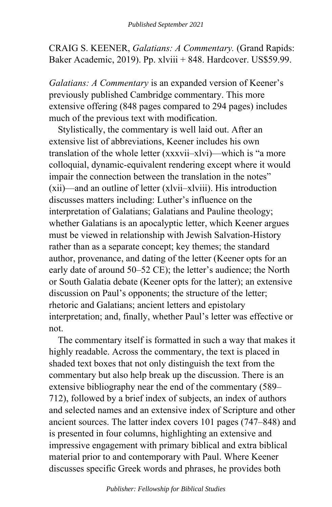CRAIG S. KEENER, *Galatians: A Commentary.* (Grand Rapids: Baker Academic, 2019). Pp. xlviii + 848. Hardcover. US\$59.99.

*Galatians: A Commentary* is an expanded version of Keener's previously published Cambridge commentary. This more extensive offering (848 pages compared to 294 pages) includes much of the previous text with modification.

Stylistically, the commentary is well laid out. After an extensive list of abbreviations, Keener includes his own translation of the whole letter (xxxvii–xlvi)—which is "a more colloquial, dynamic-equivalent rendering except where it would impair the connection between the translation in the notes" (xii)—and an outline of letter (xlvii–xlviii). His introduction discusses matters including: Luther's influence on the interpretation of Galatians; Galatians and Pauline theology; whether Galatians is an apocalyptic letter, which Keener argues must be viewed in relationship with Jewish Salvation-History rather than as a separate concept; key themes; the standard author, provenance, and dating of the letter (Keener opts for an early date of around 50–52 CE); the letter's audience; the North or South Galatia debate (Keener opts for the latter); an extensive discussion on Paul's opponents; the structure of the letter; rhetoric and Galatians; ancient letters and epistolary interpretation; and, finally, whether Paul's letter was effective or not.

The commentary itself is formatted in such a way that makes it highly readable. Across the commentary, the text is placed in shaded text boxes that not only distinguish the text from the commentary but also help break up the discussion. There is an extensive bibliography near the end of the commentary (589– 712), followed by a brief index of subjects, an index of authors and selected names and an extensive index of Scripture and other ancient sources. The latter index covers 101 pages (747–848) and is presented in four columns, highlighting an extensive and impressive engagement with primary biblical and extra biblical material prior to and contemporary with Paul. Where Keener discusses specific Greek words and phrases, he provides both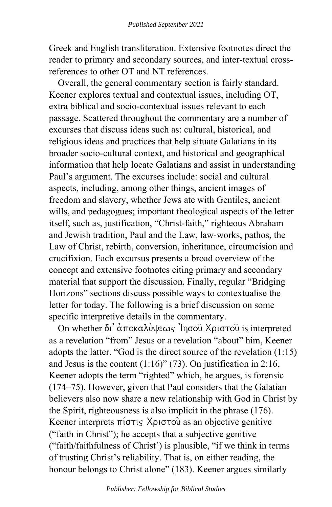Greek and English transliteration. Extensive footnotes direct the reader to primary and secondary sources, and inter-textual crossreferences to other OT and NT references.

Overall, the general commentary section is fairly standard. Keener explores textual and contextual issues, including OT, extra biblical and socio-contextual issues relevant to each passage. Scattered throughout the commentary are a number of excurses that discuss ideas such as: cultural, historical, and religious ideas and practices that help situate Galatians in its broader socio-cultural context, and historical and geographical information that help locate Galatians and assist in understanding Paul's argument. The excurses include: social and cultural aspects, including, among other things, ancient images of freedom and slavery, whether Jews ate with Gentiles, ancient wills, and pedagogues; important theological aspects of the letter itself, such as, justification, "Christ-faith," righteous Abraham and Jewish tradition, Paul and the Law, law-works, pathos, the Law of Christ, rebirth, conversion, inheritance, circumcision and crucifixion. Each excursus presents a broad overview of the concept and extensive footnotes citing primary and secondary material that support the discussion. Finally, regular "Bridging Horizons" sections discuss possible ways to contextualise the letter for today. The following is a brief discussion on some specific interpretive details in the commentary.

On whether δι' αποκαλύψεως 'Inσου Χριστου is interpreted as a revelation "from" Jesus or a revelation "about" him, Keener adopts the latter. "God is the direct source of the revelation (1:15) and Jesus is the content  $(1:16)$ " (73). On justification in 2:16, Keener adopts the term "righted" which, he argues, is forensic (174–75). However, given that Paul considers that the Galatian believers also now share a new relationship with God in Christ by the Spirit, righteousness is also implicit in the phrase (176). Keener interprets  $\pi$ i $\sigma$  $\tau$  $\varsigma$  X $\rho$ i $\sigma$  $\tau$ o $\hat{\upsilon}$  as an objective genitive ("faith in Christ"); he accepts that a subjective genitive ("faith/faithfulness of Christ') is plausible, "if we think in terms of trusting Christ's reliability. That is, on either reading, the honour belongs to Christ alone" (183). Keener argues similarly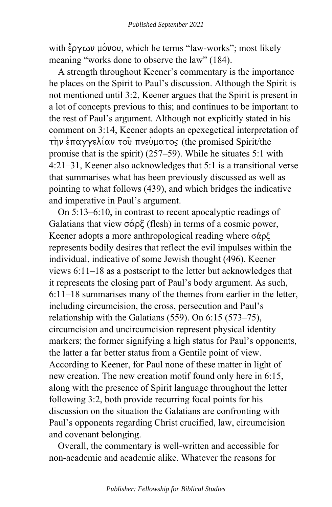with  $\epsilon$   $\gamma$   $\omega$   $\nu$   $\gamma$   $\omega$   $\nu$ , which he terms "law-works"; most likely meaning "works done to observe the law" (184).

A strength throughout Keener's commentary is the importance he places on the Spirit to Paul's discussion. Although the Spirit is not mentioned until 3:2, Keener argues that the Spirit is present in a lot of concepts previous to this; and continues to be important to the rest of Paul's argument. Although not explicitly stated in his comment on 3:14, Keener adopts an epexegetical interpretation of  $\tau$ ην επαγγελίαν του πνεύματος (the promised Spirit/the promise that is the spirit) (257–59). While he situates 5:1 with 4:21–31, Keener also acknowledges that 5:1 is a transitional verse that summarises what has been previously discussed as well as pointing to what follows (439), and which bridges the indicative and imperative in Paul's argument.

On 5:13–6:10, in contrast to recent apocalyptic readings of Galatians that view  $\sigma \alpha \rho \xi$  (flesh) in terms of a cosmic power, Keener adopts a more anthropological reading where σάρξ represents bodily desires that reflect the evil impulses within the individual, indicative of some Jewish thought (496). Keener views 6:11–18 as a postscript to the letter but acknowledges that it represents the closing part of Paul's body argument. As such, 6:11–18 summarises many of the themes from earlier in the letter, including circumcision, the cross, persecution and Paul's relationship with the Galatians (559). On 6:15 (573–75), circumcision and uncircumcision represent physical identity markers; the former signifying a high status for Paul's opponents, the latter a far better status from a Gentile point of view. According to Keener, for Paul none of these matter in light of new creation. The new creation motif found only here in 6:15, along with the presence of Spirit language throughout the letter following 3:2, both provide recurring focal points for his discussion on the situation the Galatians are confronting with Paul's opponents regarding Christ crucified, law, circumcision and covenant belonging.

Overall, the commentary is well-written and accessible for non-academic and academic alike. Whatever the reasons for

*Publisher: Fellowship for Biblical Studies*